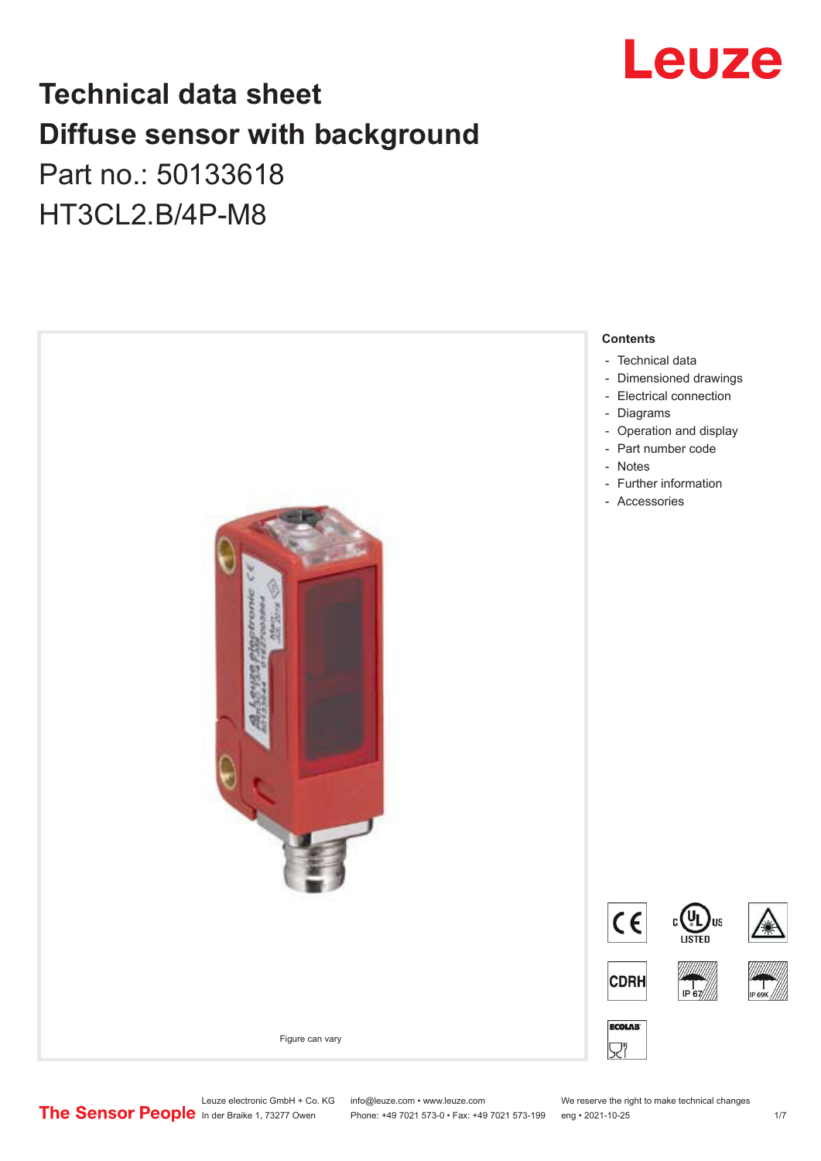

# **Technical data sheet Diffuse sensor with background**  Part no.: 50133618

HT3CL2.B/4P-M8



Leuze electronic GmbH + Co. KG info@leuze.com • www.leuze.com We reserve the right to make technical changes<br>
The Sensor People in der Braike 1, 73277 Owen Phone: +49 7021 573-0 • Fax: +49 7021 573-199 eng • 2021-10-25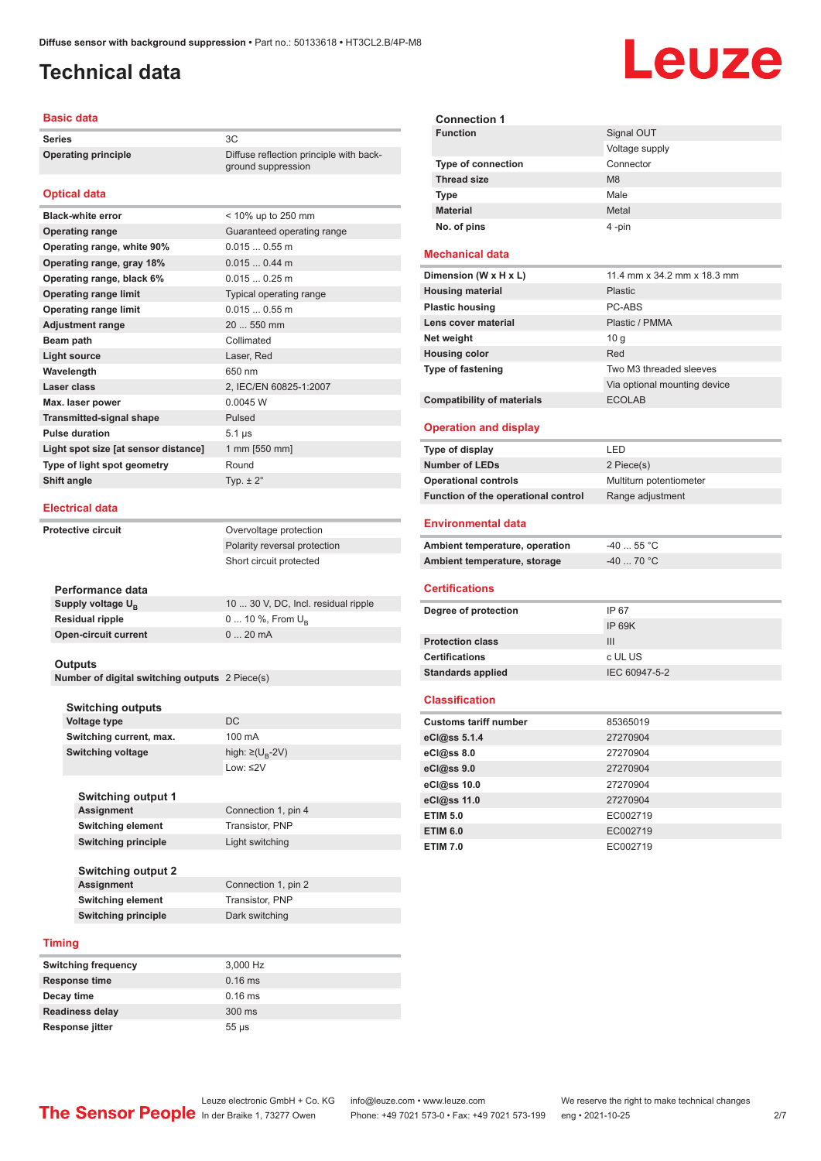ground suppression

## <span id="page-1-0"></span>**Technical data**

#### **Basic data**

**Series** 3C **Operating principle** Diffuse reflection principle with back-

### **Optical data**

| <b>Black-white error</b>             | < 10% up to 250 mm         |
|--------------------------------------|----------------------------|
| <b>Operating range</b>               | Guaranteed operating range |
| Operating range, white 90%           | $0.0150.55$ m              |
| Operating range, gray 18%            | $0.0150.44$ m              |
| Operating range, black 6%            | $0.0150.25$ m              |
| <b>Operating range limit</b>         | Typical operating range    |
| <b>Operating range limit</b>         | $0.0150.55$ m              |
| <b>Adjustment range</b>              | 20  550 mm                 |
| Beam path                            | Collimated                 |
| <b>Light source</b>                  | Laser, Red                 |
| Wavelength                           | 650 nm                     |
| Laser class                          | 2, IEC/EN 60825-1:2007     |
| Max. laser power                     | 0.0045 W                   |
| <b>Transmitted-signal shape</b>      | Pulsed                     |
| <b>Pulse duration</b>                | $5.1 \,\mu s$              |
| Light spot size [at sensor distance] | 1 mm [550 mm]              |
| Type of light spot geometry          | Round                      |
| Shift angle                          | Typ. $\pm 2^{\circ}$       |
|                                      |                            |

#### **Electrical data**

**Protective circuit COVER COVER COVER COVER COVER** Polarity reversal protection Short circuit protected

| Performance data              |                                     |
|-------------------------------|-------------------------------------|
| Supply voltage U <sub>n</sub> | 10  30 V, DC, Incl. residual ripple |
| Residual ripple               | 0  10 %, From $U_{\rm B}$           |
| Open-circuit current          | $020$ mA                            |
|                               |                                     |

#### **Outputs**

**Number of digital switching outputs** 2 Piece(s)

| DC<br><b>Voltage type</b><br>100 mA<br>Switching current, max.<br><b>Switching voltage</b><br>high: $\geq$ (U <sub>B</sub> -2V)<br>Low: $\leq$ 2V<br><b>Switching output 1</b><br><b>Assignment</b><br>Connection 1, pin 4<br><b>Switching element</b><br>Transistor, PNP<br><b>Switching principle</b><br>Light switching<br><b>Switching output 2</b><br><b>Assignment</b><br>Connection 1, pin 2<br><b>Switching element</b><br>Transistor, PNP<br><b>Switching principle</b><br>Dark switching<br>Timing | <b>Switching outputs</b> |  |
|--------------------------------------------------------------------------------------------------------------------------------------------------------------------------------------------------------------------------------------------------------------------------------------------------------------------------------------------------------------------------------------------------------------------------------------------------------------------------------------------------------------|--------------------------|--|
|                                                                                                                                                                                                                                                                                                                                                                                                                                                                                                              |                          |  |
|                                                                                                                                                                                                                                                                                                                                                                                                                                                                                                              |                          |  |
|                                                                                                                                                                                                                                                                                                                                                                                                                                                                                                              |                          |  |
|                                                                                                                                                                                                                                                                                                                                                                                                                                                                                                              |                          |  |
|                                                                                                                                                                                                                                                                                                                                                                                                                                                                                                              |                          |  |
|                                                                                                                                                                                                                                                                                                                                                                                                                                                                                                              |                          |  |
|                                                                                                                                                                                                                                                                                                                                                                                                                                                                                                              |                          |  |
|                                                                                                                                                                                                                                                                                                                                                                                                                                                                                                              |                          |  |
|                                                                                                                                                                                                                                                                                                                                                                                                                                                                                                              |                          |  |
|                                                                                                                                                                                                                                                                                                                                                                                                                                                                                                              |                          |  |
|                                                                                                                                                                                                                                                                                                                                                                                                                                                                                                              |                          |  |
|                                                                                                                                                                                                                                                                                                                                                                                                                                                                                                              |                          |  |
|                                                                                                                                                                                                                                                                                                                                                                                                                                                                                                              |                          |  |
|                                                                                                                                                                                                                                                                                                                                                                                                                                                                                                              |                          |  |
|                                                                                                                                                                                                                                                                                                                                                                                                                                                                                                              |                          |  |
|                                                                                                                                                                                                                                                                                                                                                                                                                                                                                                              |                          |  |

| <b>Switching frequency</b> | 3,000 Hz   |
|----------------------------|------------|
| <b>Response time</b>       | $0.16$ ms  |
| Decay time                 | $0.16$ ms  |
| <b>Readiness delay</b>     | $300$ ms   |
| <b>Response jitter</b>     | $55 \mu s$ |

| <b>Connection 1</b>       |                |
|---------------------------|----------------|
| <b>Function</b>           | Signal OUT     |
|                           | Voltage supply |
| <b>Type of connection</b> | Connector      |
| <b>Thread size</b>        | M <sub>8</sub> |
| <b>Type</b>               | Male           |
| <b>Material</b>           | Metal          |
| No. of pins               | 4-pin          |

### **Mechanical data**

| Dimension (W x H x L)             | 11.4 mm x 34.2 mm x 18.3 mm  |
|-----------------------------------|------------------------------|
| <b>Housing material</b>           | <b>Plastic</b>               |
| <b>Plastic housing</b>            | PC-ABS                       |
| Lens cover material               | Plastic / PMMA               |
| Net weight                        | 10q                          |
| <b>Housing color</b>              | Red                          |
| <b>Type of fastening</b>          | Two M3 threaded sleeves      |
|                                   | Via optional mounting device |
| <b>Compatibility of materials</b> | <b>ECOLAB</b>                |

#### **Operation and display**

| Type of display                     | I FD.                   |
|-------------------------------------|-------------------------|
| <b>Number of LEDs</b>               | 2 Piece(s)              |
| <b>Operational controls</b>         | Multiturn potentiometer |
| Function of the operational control | Range adjustment        |

#### **Environmental data**

| Ambient temperature, operation | -40  55 °C |
|--------------------------------|------------|
| Ambient temperature, storage   | -40  70 °C |

#### **Certifications**

| Degree of protection     | IP 67         |
|--------------------------|---------------|
|                          | IP 69K        |
| <b>Protection class</b>  | Ш             |
| <b>Certifications</b>    | c UL US       |
| <b>Standards applied</b> | IEC 60947-5-2 |

#### **Classification**

| <b>Customs tariff number</b> | 85365019 |
|------------------------------|----------|
| eCl@ss 5.1.4                 | 27270904 |
| $eC/\omega$ ss 8.0           | 27270904 |
| eCl@ss 9.0                   | 27270904 |
| eCl@ss 10.0                  | 27270904 |
| eCl@ss 11.0                  | 27270904 |
| <b>ETIM 5.0</b>              | EC002719 |
| <b>ETIM 6.0</b>              | EC002719 |
| <b>ETIM 7.0</b>              | EC002719 |

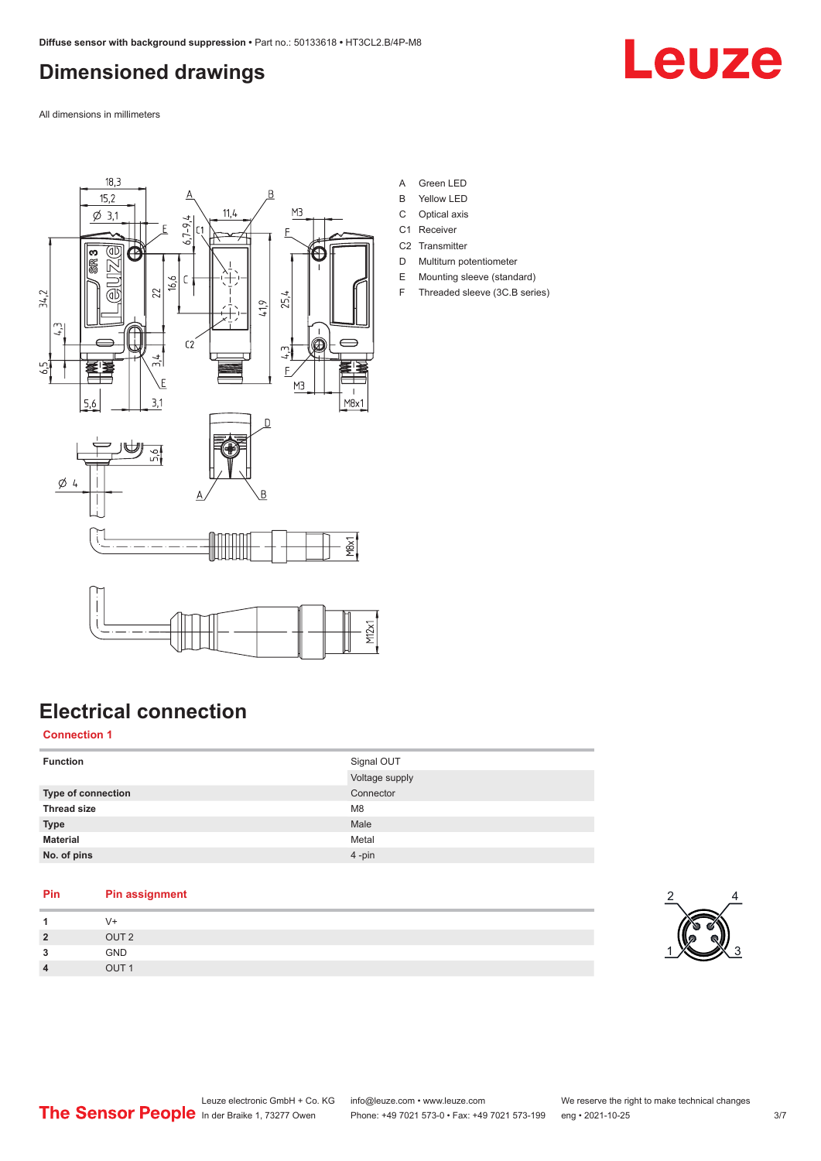# <span id="page-2-0"></span>**Dimensioned drawings**

Leuze

All dimensions in millimeters



- A Green LED
- B Yellow LED
- C Optical axis
- C1 Receiver
- C<sub>2</sub> Transmitter D Multiturn potentiometer
- E Mounting sleeve (standard)
- F Threaded sleeve (3C.B series)

# **Electrical connection**

## **Connection 1**

| <b>Function</b>    | Signal OUT<br>Voltage supply |
|--------------------|------------------------------|
|                    |                              |
| Type of connection | Connector                    |
| <b>Thread size</b> | M <sub>8</sub>               |
| <b>Type</b>        | Male                         |
| <b>Material</b>    | Metal                        |
| No. of pins        | $4 - pin$                    |

## **Pin Pin assignment**

| $\overline{\mathbf{A}}$ | V+               |
|-------------------------|------------------|
| $\overline{2}$          | OUT <sub>2</sub> |
| 3                       | GND              |
| $\overline{4}$          | OUT <sub>1</sub> |

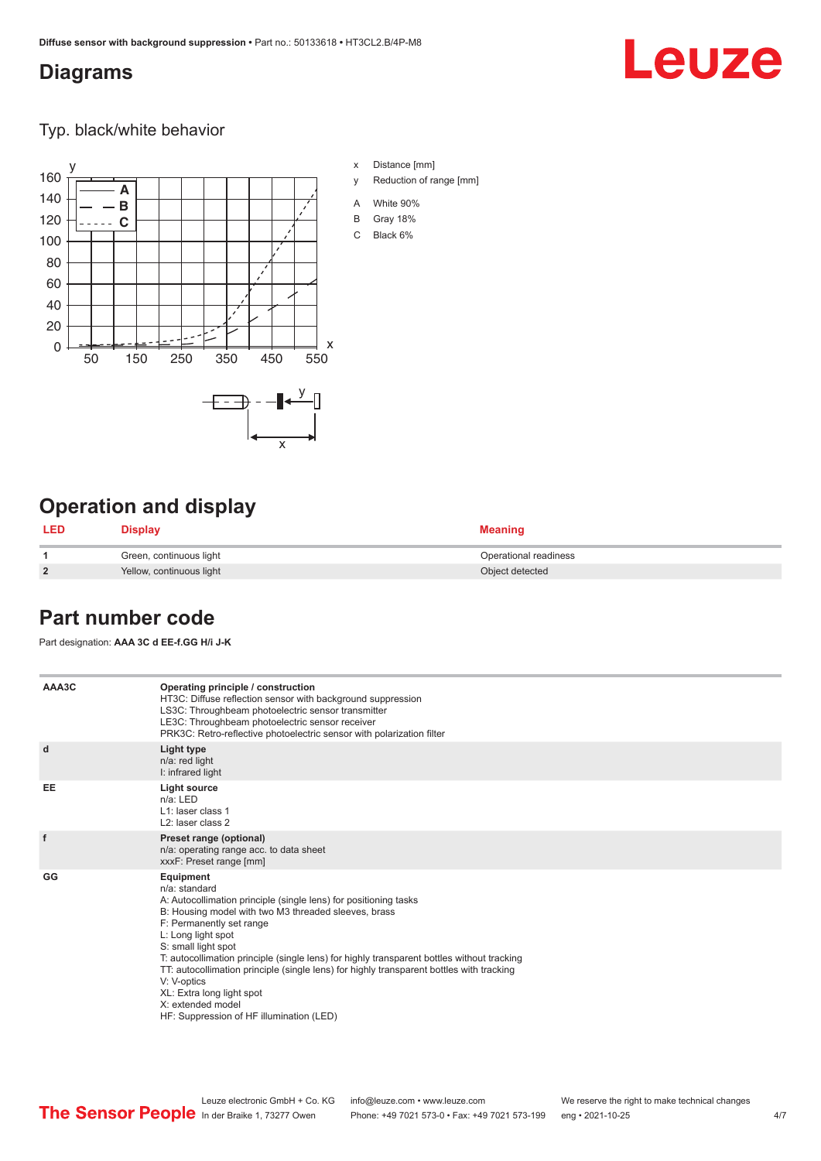## <span id="page-3-0"></span>**Diagrams**

# Leuze

Typ. black/white behavior



# **Operation and display**

| <b>LED</b>     | Display                  | <b>Meaning</b>        |
|----------------|--------------------------|-----------------------|
|                | Green, continuous light  | Operational readiness |
| $\overline{2}$ | Yellow, continuous light | Object detected       |

## **Part number code**

Part designation: **AAA 3C d EE-f.GG H/i J-K**

| AAA3C     | Operating principle / construction<br>HT3C: Diffuse reflection sensor with background suppression<br>LS3C: Throughbeam photoelectric sensor transmitter<br>LE3C: Throughbeam photoelectric sensor receiver<br>PRK3C: Retro-reflective photoelectric sensor with polarization filter                                                                                                                                                                                                                                                    |
|-----------|----------------------------------------------------------------------------------------------------------------------------------------------------------------------------------------------------------------------------------------------------------------------------------------------------------------------------------------------------------------------------------------------------------------------------------------------------------------------------------------------------------------------------------------|
| d         | Light type<br>n/a: red light<br>I: infrared light                                                                                                                                                                                                                                                                                                                                                                                                                                                                                      |
| <b>EE</b> | <b>Light source</b><br>$n/a$ : LED<br>L1: laser class 1<br>L <sub>2</sub> : laser class 2                                                                                                                                                                                                                                                                                                                                                                                                                                              |
| f         | Preset range (optional)<br>n/a: operating range acc. to data sheet<br>xxxF: Preset range [mm]                                                                                                                                                                                                                                                                                                                                                                                                                                          |
| GG        | Equipment<br>n/a: standard<br>A: Autocollimation principle (single lens) for positioning tasks<br>B: Housing model with two M3 threaded sleeves, brass<br>F: Permanently set range<br>L: Long light spot<br>S: small light spot<br>T: autocollimation principle (single lens) for highly transparent bottles without tracking<br>TT: autocollimation principle (single lens) for highly transparent bottles with tracking<br>V: V-optics<br>XL: Extra long light spot<br>X: extended model<br>HF: Suppression of HF illumination (LED) |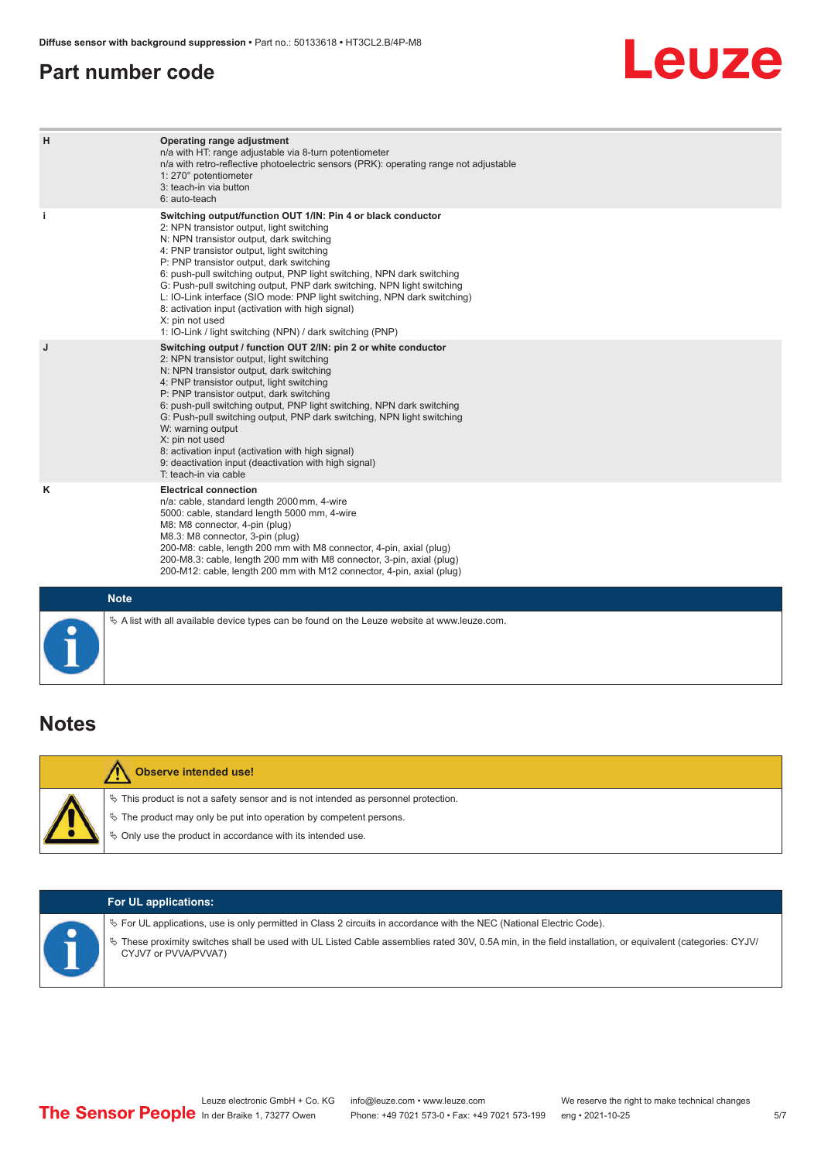## <span id="page-4-0"></span>**Part number code**

# **Leuze**

| H           | Operating range adjustment<br>n/a with HT: range adjustable via 8-turn potentiometer<br>n/a with retro-reflective photoelectric sensors (PRK): operating range not adjustable<br>1: 270° potentiometer<br>3: teach-in via button<br>6: auto-teach                                                                                                                                                                                                                                                                                                                                                                   |
|-------------|---------------------------------------------------------------------------------------------------------------------------------------------------------------------------------------------------------------------------------------------------------------------------------------------------------------------------------------------------------------------------------------------------------------------------------------------------------------------------------------------------------------------------------------------------------------------------------------------------------------------|
| j.          | Switching output/function OUT 1/IN: Pin 4 or black conductor<br>2: NPN transistor output, light switching<br>N: NPN transistor output, dark switching<br>4: PNP transistor output, light switching<br>P: PNP transistor output, dark switching<br>6: push-pull switching output, PNP light switching, NPN dark switching<br>G: Push-pull switching output, PNP dark switching, NPN light switching<br>L: IO-Link interface (SIO mode: PNP light switching, NPN dark switching)<br>8: activation input (activation with high signal)<br>X: pin not used<br>1: IO-Link / light switching (NPN) / dark switching (PNP) |
| J           | Switching output / function OUT 2/IN: pin 2 or white conductor<br>2: NPN transistor output, light switching<br>N: NPN transistor output, dark switching<br>4: PNP transistor output, light switching<br>P: PNP transistor output, dark switching<br>6: push-pull switching output, PNP light switching, NPN dark switching<br>G: Push-pull switching output, PNP dark switching, NPN light switching<br>W: warning output<br>X: pin not used<br>8: activation input (activation with high signal)<br>9: deactivation input (deactivation with high signal)<br>T: teach-in via cable                                 |
| ĸ           | <b>Electrical connection</b><br>n/a: cable, standard length 2000 mm, 4-wire<br>5000: cable, standard length 5000 mm, 4-wire<br>M8: M8 connector, 4-pin (plug)<br>M8.3: M8 connector, 3-pin (plug)<br>200-M8: cable, length 200 mm with M8 connector, 4-pin, axial (plug)<br>200-M8.3: cable, length 200 mm with M8 connector, 3-pin, axial (plug)<br>200-M12: cable, length 200 mm with M12 connector, 4-pin, axial (plug)                                                                                                                                                                                          |
| <b>Note</b> |                                                                                                                                                                                                                                                                                                                                                                                                                                                                                                                                                                                                                     |

# **Notes**

| Observe intended use!                                                                                                                                                                                                            |
|----------------------------------------------------------------------------------------------------------------------------------------------------------------------------------------------------------------------------------|
| $\%$ This product is not a safety sensor and is not intended as personnel protection.<br>$\&$ The product may only be put into operation by competent persons.<br>$\&$ Only use the product in accordance with its intended use. |

 $\%$  A list with all available device types can be found on the Leuze website at www.leuze.com.

| <b>For UL applications:</b>                                                                                                                                                                                                                                                                                 |
|-------------------------------------------------------------------------------------------------------------------------------------------------------------------------------------------------------------------------------------------------------------------------------------------------------------|
| $\%$ For UL applications, use is only permitted in Class 2 circuits in accordance with the NEC (National Electric Code).<br>These proximity switches shall be used with UL Listed Cable assemblies rated 30V, 0.5A min, in the field installation, or equivalent (categories: CYJV/<br>CYJV7 or PVVA/PVVA7) |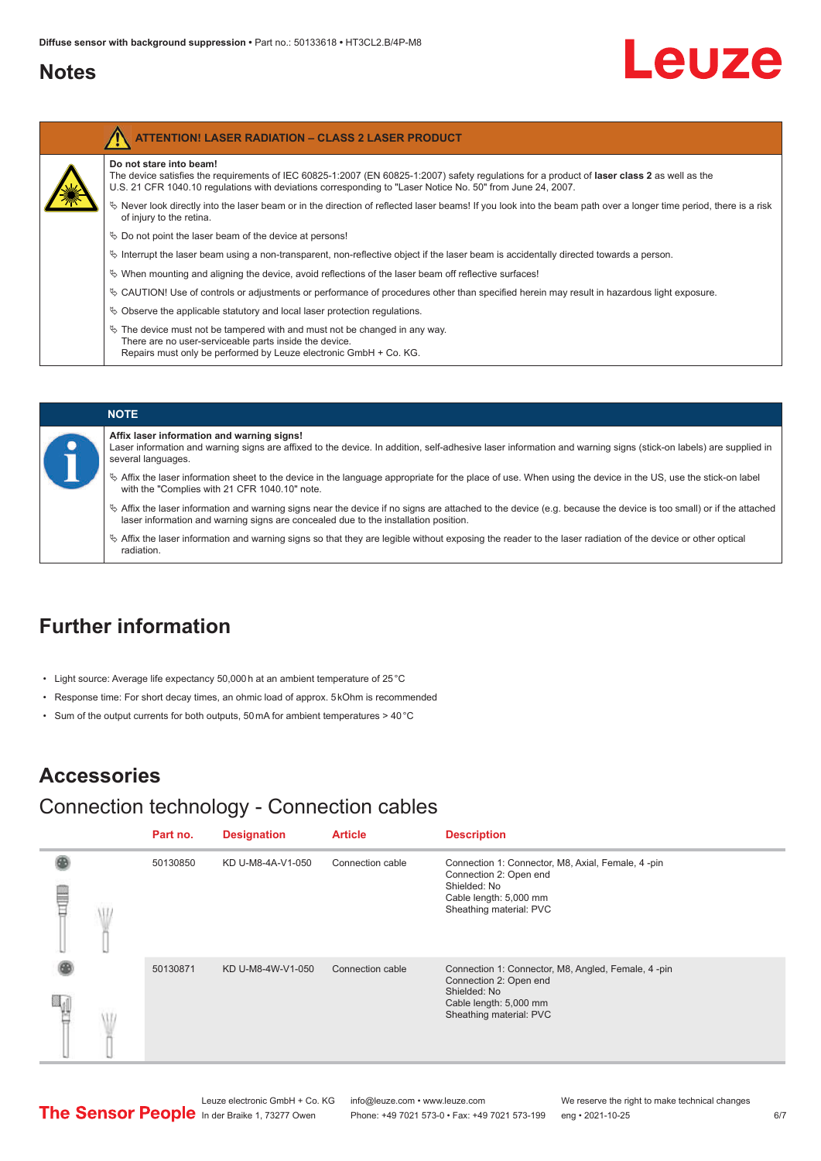## <span id="page-5-0"></span>**Notes**

Ź

# Leuze

| Do not stare into beam!<br>The device satisfies the requirements of IEC 60825-1:2007 (EN 60825-1:2007) safety requiations for a product of laser class 2 as well as the<br>U.S. 21 CFR 1040.10 regulations with deviations corresponding to "Laser Notice No. 50" from June 24, 2007. |
|---------------------------------------------------------------------------------------------------------------------------------------------------------------------------------------------------------------------------------------------------------------------------------------|
| Never look directly into the laser beam or in the direction of reflected laser beams! If you look into the beam path over a longer time period, there is a risk<br>of injury to the retina.                                                                                           |
| $\&$ Do not point the laser beam of the device at persons!                                                                                                                                                                                                                            |
| $\%$ Interrupt the laser beam using a non-transparent, non-reflective object if the laser beam is accidentally directed towards a person.                                                                                                                                             |
| $\%$ When mounting and aligning the device, avoid reflections of the laser beam off reflective surfaces!                                                                                                                                                                              |
| Ve CAUTION! Use of controls or adjustments or performance of procedures other than specified herein may result in hazardous light exposure.                                                                                                                                           |
| $\%$ Observe the applicable statutory and local laser protection regulations.                                                                                                                                                                                                         |
| $\&$ The device must not be tampered with and must not be changed in any way.<br>There are no user-serviceable parts inside the device.<br>Repairs must only be performed by Leuze electronic GmbH + Co. KG.                                                                          |

### **NOTE Affix laser information and warning signs!** Laser information and warning signs are affixed to the device. In addition, self-adhesive laser information and warning signs (stick-on labels) are supplied in several languages. ª Affix the laser information sheet to the device in the language appropriate for the place of use. When using the device in the US, use the stick-on label with the "Complies with 21 CFR 1040.10" note. ª Affix the laser information and warning signs near the device if no signs are attached to the device (e.g. because the device is too small) or if the attached laser information and warning signs are concealed due to the installation position.  $\%$  Affix the laser information and warning signs so that they are legible without exposing the reader to the laser radiation of the device or other optical radiation.

## **Further information**

- Light source: Average life expectancy 50,000 h at an ambient temperature of 25 °C
- Response time: For short decay times, an ohmic load of approx. 5 kOhm is recommended
- Sum of the output currents for both outputs, 50 mA for ambient temperatures > 40 °C

## **Accessories**

## Connection technology - Connection cables

|   | Part no. | <b>Designation</b> | <b>Article</b>   | <b>Description</b>                                                                                                                                |
|---|----------|--------------------|------------------|---------------------------------------------------------------------------------------------------------------------------------------------------|
| ⋚ | 50130850 | KD U-M8-4A-V1-050  | Connection cable | Connection 1: Connector, M8, Axial, Female, 4 -pin<br>Connection 2: Open end<br>Shielded: No<br>Cable length: 5,000 mm<br>Sheathing material: PVC |
|   | 50130871 | KD U-M8-4W-V1-050  | Connection cable | Connection 1: Connector, M8, Angled, Female, 4-pin<br>Connection 2: Open end<br>Shielded: No<br>Cable length: 5,000 mm<br>Sheathing material: PVC |